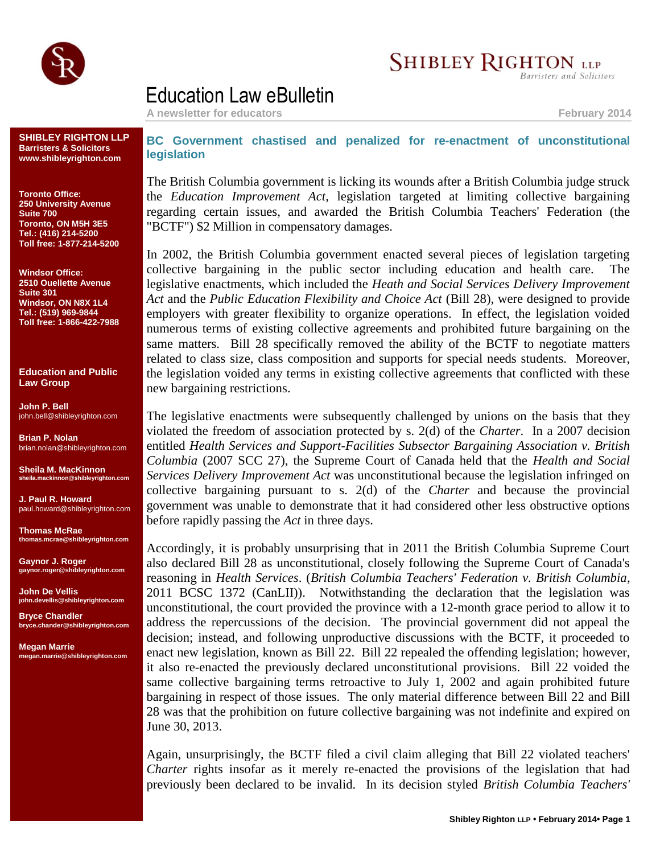

## **SHIBLEY RIGHTON LLP**

**Barristers and Solicitors** 

## Education Law eBulletin

**A newsletter for educators February 2014**

**SHIBLEY RIGHTON LLP Barristers & Solicitors www.shibleyrighton.com**

**Toronto Office: 250 University Avenue Suite 700 Toronto, ON M5H 3E5 Tel.: (416) 214-5200 Toll free: 1-877-214-5200**

**Windsor Office: 2510 Ouellette Avenue Suite 301 Windsor, ON N8X 1L4 Tel.: (519) 969-9844 Toll free: 1-866-422-7988**

**Education and Public Law Group**

**John P. Bell** john.bell@shibleyrighton.com

**Brian P. Nolan** brian.nolan@shibleyrighton.com

**Sheila M. MacKinnon sheila.mackinnon@shibleyrighton.com**

**J. Paul R. Howard** paul.howard@shibleyrighton.com

**Thomas McRae thomas.mcrae@shibleyrighton.com**

**Gaynor J. Roger gaynor.roger@shibleyrighton.com**

**John De Vellis john.devellis@shibleyrighton.com**

**Bryce Chandler bryce.chander@shibleyrighton.com**

**Megan Marrie megan.marrie@shibleyrighton.com**

## **BC Government chastised and penalized for re-enactment of unconstitutional legislation**

The British Columbia government is licking its wounds after a British Columbia judge struck the *Education Improvement Act*, legislation targeted at limiting collective bargaining regarding certain issues, and awarded the British Columbia Teachers' Federation (the "BCTF") \$2 Million in compensatory damages.

In 2002, the British Columbia government enacted several pieces of legislation targeting collective bargaining in the public sector including education and health care. The legislative enactments, which included the *Heath and Social Services Delivery Improvement Act* and the *Public Education Flexibility and Choice Act* (Bill 28), were designed to provide employers with greater flexibility to organize operations. In effect, the legislation voided numerous terms of existing collective agreements and prohibited future bargaining on the same matters. Bill 28 specifically removed the ability of the BCTF to negotiate matters related to class size, class composition and supports for special needs students. Moreover, the legislation voided any terms in existing collective agreements that conflicted with these new bargaining restrictions.

The legislative enactments were subsequently challenged by unions on the basis that they violated the freedom of association protected by s. 2(d) of the *Charter*. In a 2007 decision entitled *Health Services and Support-Facilities Subsector Bargaining Association v. British Columbia* (2007 SCC 27), the Supreme Court of Canada held that the *Health and Social Services Delivery Improvement Act* was unconstitutional because the legislation infringed on collective bargaining pursuant to s. 2(d) of the *Charter* and because the provincial government was unable to demonstrate that it had considered other less obstructive options before rapidly passing the *Act* in three days.

Accordingly, it is probably unsurprising that in 2011 the British Columbia Supreme Court also declared Bill 28 as unconstitutional, closely following the Supreme Court of Canada's reasoning in *Health Services*. (*British Columbia Teachers' Federation v. British Columbia*, 2011 BCSC 1372 (CanLII)). Notwithstanding the declaration that the legislation was unconstitutional, the court provided the province with a 12-month grace period to allow it to address the repercussions of the decision. The provincial government did not appeal the decision; instead, and following unproductive discussions with the BCTF, it proceeded to enact new legislation, known as Bill 22. Bill 22 repealed the offending legislation; however, it also re-enacted the previously declared unconstitutional provisions. Bill 22 voided the same collective bargaining terms retroactive to July 1, 2002 and again prohibited future bargaining in respect of those issues. The only material difference between Bill 22 and Bill 28 was that the prohibition on future collective bargaining was not indefinite and expired on June 30, 2013.

Again, unsurprisingly, the BCTF filed a civil claim alleging that Bill 22 violated teachers' *Charter* rights insofar as it merely re-enacted the provisions of the legislation that had previously been declared to be invalid. In its decision styled *British Columbia Teachers'*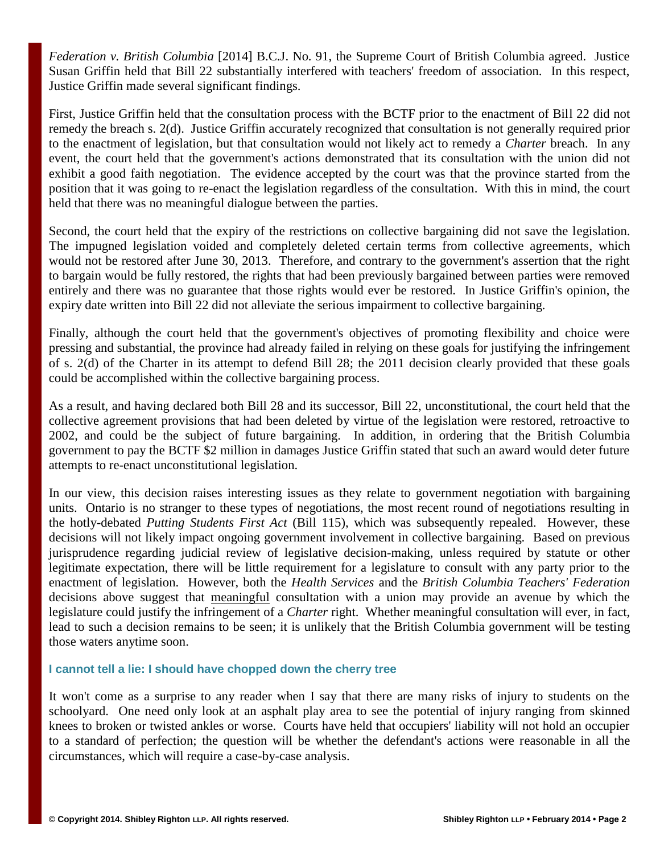*Federation v. British Columbia* [2014] B.C.J. No. 91, the Supreme Court of British Columbia agreed. Justice Susan Griffin held that Bill 22 substantially interfered with teachers' freedom of association. In this respect, Justice Griffin made several significant findings.

First, Justice Griffin held that the consultation process with the BCTF prior to the enactment of Bill 22 did not remedy the breach s. 2(d). Justice Griffin accurately recognized that consultation is not generally required prior to the enactment of legislation, but that consultation would not likely act to remedy a *Charter* breach. In any event, the court held that the government's actions demonstrated that its consultation with the union did not exhibit a good faith negotiation. The evidence accepted by the court was that the province started from the position that it was going to re-enact the legislation regardless of the consultation. With this in mind, the court held that there was no meaningful dialogue between the parties.

Second, the court held that the expiry of the restrictions on collective bargaining did not save the legislation. The impugned legislation voided and completely deleted certain terms from collective agreements, which would not be restored after June 30, 2013. Therefore, and contrary to the government's assertion that the right to bargain would be fully restored, the rights that had been previously bargained between parties were removed entirely and there was no guarantee that those rights would ever be restored. In Justice Griffin's opinion, the expiry date written into Bill 22 did not alleviate the serious impairment to collective bargaining.

Finally, although the court held that the government's objectives of promoting flexibility and choice were pressing and substantial, the province had already failed in relying on these goals for justifying the infringement of s. 2(d) of the Charter in its attempt to defend Bill 28; the 2011 decision clearly provided that these goals could be accomplished within the collective bargaining process.

As a result, and having declared both Bill 28 and its successor, Bill 22, unconstitutional, the court held that the collective agreement provisions that had been deleted by virtue of the legislation were restored, retroactive to 2002, and could be the subject of future bargaining. In addition, in ordering that the British Columbia government to pay the BCTF \$2 million in damages Justice Griffin stated that such an award would deter future attempts to re-enact unconstitutional legislation.

In our view, this decision raises interesting issues as they relate to government negotiation with bargaining units. Ontario is no stranger to these types of negotiations, the most recent round of negotiations resulting in the hotly-debated *Putting Students First Act* (Bill 115), which was subsequently repealed. However, these decisions will not likely impact ongoing government involvement in collective bargaining. Based on previous jurisprudence regarding judicial review of legislative decision-making, unless required by statute or other legitimate expectation, there will be little requirement for a legislature to consult with any party prior to the enactment of legislation. However, both the *Health Services* and the *British Columbia Teachers' Federation* decisions above suggest that meaningful consultation with a union may provide an avenue by which the legislature could justify the infringement of a *Charter* right. Whether meaningful consultation will ever, in fact, lead to such a decision remains to be seen; it is unlikely that the British Columbia government will be testing those waters anytime soon.

## **I cannot tell a lie: I should have chopped down the cherry tree**

It won't come as a surprise to any reader when I say that there are many risks of injury to students on the schoolyard. One need only look at an asphalt play area to see the potential of injury ranging from skinned knees to broken or twisted ankles or worse. Courts have held that occupiers' liability will not hold an occupier to a standard of perfection; the question will be whether the defendant's actions were reasonable in all the circumstances, which will require a case-by-case analysis.